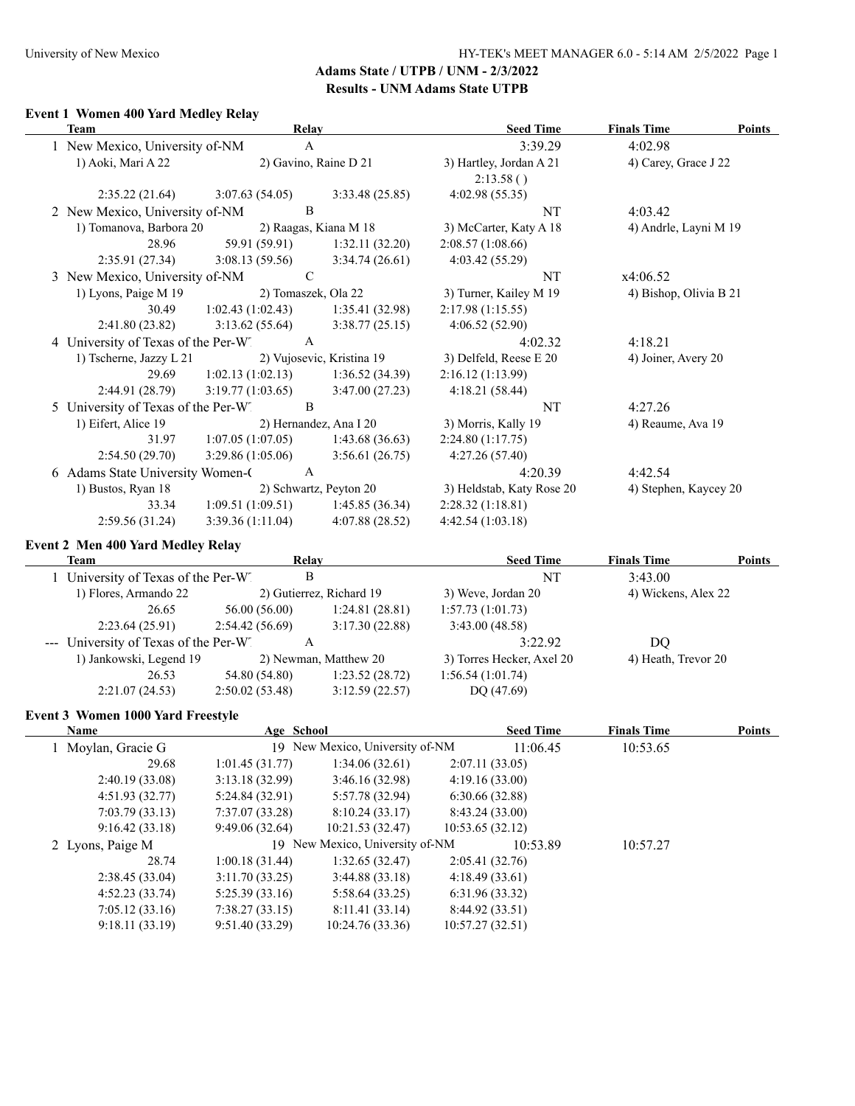### **Event 1 Women 400 Yard Medley Relay**

| <b>Team</b> |                                        | Relay               |                           | <b>Seed Time</b>          | <b>Finals Time</b>     | Points |
|-------------|----------------------------------------|---------------------|---------------------------|---------------------------|------------------------|--------|
|             | 1 New Mexico, University of-NM         | A                   |                           | 3:39.29                   | 4:02.98                |        |
|             | 1) Aoki, Mari A 22                     |                     | 2) Gavino, Raine D 21     | 3) Hartley, Jordan A 21   | 4) Carey, Grace J 22   |        |
|             |                                        |                     |                           | 2:13.58()                 |                        |        |
|             | 2:35.22(21.64)                         | 3:07.63(54.05)      | 3:33.48(25.85)            | 4:02.98(55.35)            |                        |        |
|             | 2 New Mexico, University of-NM         | B                   |                           | NT                        | 4:03.42                |        |
|             | 1) Tomanova, Barbora 20                |                     | 2) Raagas, Kiana M 18     | 3) McCarter, Katy A 18    | 4) Andrle, Layni M 19  |        |
|             | 28.96                                  | 59.91 (59.91)       | 1:32.11(32.20)            | 2:08.57(1:08.66)          |                        |        |
|             | 2:35.91(27.34)                         | 3:08.13(59.56)      | 3:34.74(26.61)            | 4:03.42 (55.29)           |                        |        |
|             | 3 New Mexico, University of-NM         | $\mathcal{C}$       |                           | NT                        | x4:06.52               |        |
|             | 1) Lyons, Paige M 19                   | 2) Tomaszek, Ola 22 |                           | 3) Turner, Kailey M 19    | 4) Bishop, Olivia B 21 |        |
|             | 30.49                                  | 1:02.43(1:02.43)    | 1:35.41(32.98)            | 2:17.98(1:15.55)          |                        |        |
|             | 2:41.80(23.82)                         | 3:13.62(55.64)      | 3:38.77(25.15)            | 4:06.52(52.90)            |                        |        |
|             | 4 University of Texas of the Per-W     | A                   |                           | 4:02.32                   | 4:18.21                |        |
|             | 1) Tscherne, Jazzy L 21                |                     | 2) Vujosevic, Kristina 19 | 3) Delfeld, Reese E 20    | 4) Joiner, Avery 20    |        |
|             | 29.69                                  | 1:02.13(1:02.13)    | 1:36.52(34.39)            | 2:16.12(1:13.99)          |                        |        |
|             | 2:44.91(28.79)                         | 3:19.77(1:03.65)    | 3:47.00(27.23)            | 4:18.21(58.44)            |                        |        |
|             | University of Texas of the Per-W.<br>5 | B                   |                           | NT                        | 4:27.26                |        |
|             | 1) Eifert, Alice 19                    |                     | 2) Hernandez, Ana I 20    | 3) Morris, Kally 19       | 4) Reaume, Ava 19      |        |
|             | 31.97                                  | 1:07.05(1:07.05)    | 1:43.68(36.63)            | 2:24.80(1:17.75)          |                        |        |
|             | 2:54.50(29.70)                         | 3:29.86(1:05.06)    | 3:56.61(26.75)            | 4:27.26(57.40)            |                        |        |
|             | 6 Adams State University Women-C       | A                   |                           | 4:20.39                   | 4:42.54                |        |
|             | 1) Bustos, Ryan 18                     |                     | 2) Schwartz, Peyton 20    | 3) Heldstab, Katy Rose 20 | 4) Stephen, Kaycey 20  |        |
|             | 33.34                                  | 1:09.51(1:09.51)    | 1:45.85(36.34)            | 2:28.32(1:18.81)          |                        |        |
|             | 2:59.56(31.24)                         | 3:39.36(1:11.04)    | 4:07.88(28.52)            | 4:42.54 (1:03.18)         |                        |        |
|             |                                        |                     |                           |                           |                        |        |

### **Event 2 Men 400 Yard Medley Relay**

| Team                                     | Relay          |                                 | <b>Seed Time</b>          | <b>Finals Time</b>  | <b>Points</b> |
|------------------------------------------|----------------|---------------------------------|---------------------------|---------------------|---------------|
| 1 University of Texas of the Per-W"      |                | B                               | NT                        | 3:43.00             |               |
| 1) Flores, Armando 22                    |                | 2) Gutierrez, Richard 19        | 3) Weve, Jordan 20        | 4) Wickens, Alex 22 |               |
| 26.65                                    | 56.00 (56.00)  | 1:24.81(28.81)                  | 1:57.73(1:01.73)          |                     |               |
| 2:23.64(25.91)                           | 2:54.42(56.69) | 3:17.30(22.88)                  | 3:43.00(48.58)            |                     |               |
| University of Texas of the Per-W         |                | A                               | 3:22.92                   | DQ                  |               |
| 1) Jankowski, Legend 19                  |                | 2) Newman, Matthew 20           | 3) Torres Hecker, Axel 20 | 4) Heath, Trevor 20 |               |
| 26.53                                    | 54.80 (54.80)  | 1:23.52(28.72)                  | 1:56.54(1:01.74)          |                     |               |
| 2:21.07(24.53)                           | 2:50.02(53.48) | 3:12.59(22.57)                  | DQ (47.69)                |                     |               |
| <b>Event 3 Women 1000 Yard Freestyle</b> |                |                                 |                           |                     |               |
| <b>Name</b>                              | Age School     |                                 | <b>Seed Time</b>          | <b>Finals Time</b>  | Points        |
| 1 Moylan, Gracie G                       |                | 19 New Mexico, University of-NM | 11:06.45                  | 10:53.65            |               |
| 29.68                                    | 1:01.45(31.77) | 1:34.06(32.61)                  | 2:07.11(33.05)            |                     |               |
| 2:40.19(33.08)                           | 3:13.18(32.99) | 3:46.16(32.98)                  | 4:19.16(33.00)            |                     |               |
| 4:51.93(32.77)                           | 5:24.84(32.91) | 5:57.78 (32.94)                 | 6:30.66(32.88)            |                     |               |
| 7:03.79(33.13)                           | 7:37.07(33.28) | 8:10.24(33.17)                  | 8:43.24(33.00)            |                     |               |
| 9:16.42(33.18)                           | 9:49.06(32.64) | 10:21.53 (32.47)                | 10:53.65(32.12)           |                     |               |

2 Lyons, Paige M 19 New Mexico, University of-NM 10:53.89 10:57.27

28.74 1:00.18 (31.44) 1:32.65 (32.47) 2:05.41 (32.76)

2:38.45 (33.04) 3:11.70 (33.25) 3:44.88 (33.18) 4:18.49 (33.61) 4:52.23 (33.74) 5:25.39 (33.16) 5:58.64 (33.25) 6:31.96 (33.32) 7:05.12 (33.16) 7:38.27 (33.15) 8:11.41 (33.14) 8:44.92 (33.51) 9:18.11 (33.19) 9:51.40 (33.29) 10:24.76 (33.36) 10:57.27 (32.51)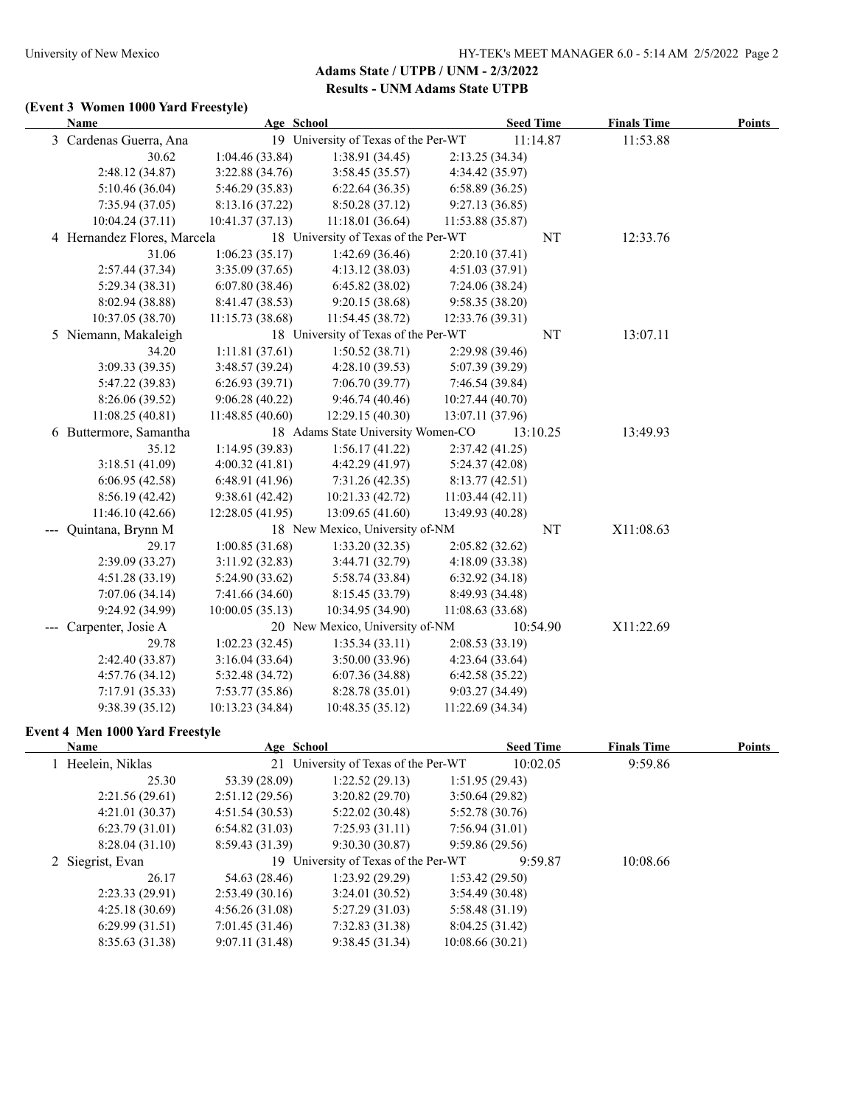# **(Event 3 Women 1000 Yard Freestyle)**

| Name                                   |                  | Age School                           |                  | <b>Seed Time</b> | <b>Finals Time</b> | <b>Points</b> |
|----------------------------------------|------------------|--------------------------------------|------------------|------------------|--------------------|---------------|
| 3 Cardenas Guerra, Ana                 |                  | 19 University of Texas of the Per-WT |                  | 11:14.87         | 11:53.88           |               |
| 30.62                                  | 1:04.46(33.84)   | 1:38.91 (34.45)                      | 2:13.25(34.34)   |                  |                    |               |
| 2:48.12 (34.87)                        | 3:22.88(34.76)   | 3:58.45(35.57)                       | 4:34.42 (35.97)  |                  |                    |               |
| 5:10.46(36.04)                         | 5:46.29 (35.83)  | 6:22.64(36.35)                       | 6:58.89(36.25)   |                  |                    |               |
| 7:35.94(37.05)                         | 8:13.16 (37.22)  | 8:50.28(37.12)                       | 9:27.13(36.85)   |                  |                    |               |
| 10:04.24(37.11)                        | 10:41.37(37.13)  | 11:18.01(36.64)                      | 11:53.88 (35.87) |                  |                    |               |
| 4 Hernandez Flores, Marcela            |                  | 18 University of Texas of the Per-WT |                  | NT               | 12:33.76           |               |
| 31.06                                  | 1:06.23(35.17)   | 1:42.69 (36.46)                      | 2:20.10(37.41)   |                  |                    |               |
| 2:57.44 (37.34)                        | 3:35.09(37.65)   | 4:13.12(38.03)                       | 4:51.03 (37.91)  |                  |                    |               |
| 5:29.34 (38.31)                        | 6:07.80(38.46)   | 6:45.82(38.02)                       | 7:24.06 (38.24)  |                  |                    |               |
| 8:02.94 (38.88)                        | 8:41.47 (38.53)  | 9:20.15 (38.68)                      | 9:58.35 (38.20)  |                  |                    |               |
| 10:37.05 (38.70)                       | 11:15.73(38.68)  | 11:54.45 (38.72)                     | 12:33.76 (39.31) |                  |                    |               |
| 5 Niemann, Makaleigh                   |                  | 18 University of Texas of the Per-WT |                  | NT               | 13:07.11           |               |
| 34.20                                  | 1:11.81(37.61)   | 1:50.52(38.71)                       | 2:29.98 (39.46)  |                  |                    |               |
| 3:09.33 (39.35)                        | 3:48.57 (39.24)  | 4:28.10 (39.53)                      | 5:07.39 (39.29)  |                  |                    |               |
| 5:47.22 (39.83)                        | 6:26.93(39.71)   | 7:06.70(39.77)                       | 7:46.54 (39.84)  |                  |                    |               |
| 8:26.06 (39.52)                        | 9:06.28(40.22)   | 9:46.74(40.46)                       | 10:27.44 (40.70) |                  |                    |               |
| 11:08.25(40.81)                        | 11:48.85 (40.60) | 12:29.15 (40.30)                     | 13:07.11 (37.96) |                  |                    |               |
| 6 Buttermore, Samantha                 |                  | 18 Adams State University Women-CO   |                  | 13:10.25         | 13:49.93           |               |
| 35.12                                  | 1:14.95(39.83)   | 1:56.17(41.22)                       | 2:37.42 (41.25)  |                  |                    |               |
| 3:18.51(41.09)                         | 4:00.32(41.81)   | 4:42.29 (41.97)                      | 5:24.37(42.08)   |                  |                    |               |
| 6:06.95(42.58)                         | 6:48.91 (41.96)  | 7:31.26(42.35)                       | 8:13.77(42.51)   |                  |                    |               |
| 8:56.19(42.42)                         | 9:38.61(42.42)   | 10:21.33 (42.72)                     | 11:03.44(42.11)  |                  |                    |               |
| 11:46.10(42.66)                        | 12:28.05 (41.95) | 13:09.65 (41.60)                     | 13:49.93 (40.28) |                  |                    |               |
| --- Quintana, Brynn M                  |                  | 18 New Mexico, University of-NM      |                  | NT               | X11:08.63          |               |
| 29.17                                  | 1:00.85(31.68)   | 1:33.20(32.35)                       | 2:05.82 (32.62)  |                  |                    |               |
| 2:39.09 (33.27)                        | 3:11.92(32.83)   | 3:44.71 (32.79)                      | 4:18.09 (33.38)  |                  |                    |               |
| 4:51.28 (33.19)                        | 5:24.90 (33.62)  | 5:58.74 (33.84)                      | 6:32.92(34.18)   |                  |                    |               |
| 7:07.06(34.14)                         | 7:41.66 (34.60)  | 8:15.45 (33.79)                      | 8:49.93 (34.48)  |                  |                    |               |
| 9:24.92 (34.99)                        | 10:00.05(35.13)  | 10:34.95 (34.90)                     | 11:08.63(33.68)  |                  |                    |               |
| --- Carpenter, Josie A                 |                  | 20 New Mexico, University of-NM      |                  | 10:54.90         | X11:22.69          |               |
| 29.78                                  | 1:02.23(32.45)   | 1:35.34(33.11)                       | 2:08.53(33.19)   |                  |                    |               |
| 2:42.40 (33.87)                        | 3:16.04(33.64)   | 3:50.00 (33.96)                      | 4:23.64(33.64)   |                  |                    |               |
| 4:57.76(34.12)                         | 5:32.48 (34.72)  | 6:07.36(34.88)                       | 6:42.58(35.22)   |                  |                    |               |
| 7:17.91(35.33)                         | 7:53.77(35.86)   | 8:28.78 (35.01)                      | 9:03.27 (34.49)  |                  |                    |               |
| 9:38.39(35.12)                         | 10:13.23 (34.84) | 10:48.35(35.12)                      | 11:22.69(34.34)  |                  |                    |               |
| <b>Event 4 Men 1000 Yard Freestyle</b> |                  |                                      |                  |                  |                    |               |
| Name                                   |                  | Age School                           |                  | <b>Seed Time</b> | <b>Finals Time</b> | <b>Points</b> |
| 1 Heelein, Niklas                      |                  | 21 University of Texas of the Per-WT |                  | 10:02.05         | 9:59.86            |               |

| таше              | лес эспол      |                                      | <b>Decu</b> Theo | тинаю типе | т оштэ |
|-------------------|----------------|--------------------------------------|------------------|------------|--------|
| 1 Heelein, Niklas |                | 21 University of Texas of the Per-WT | 10:02.05         | 9:59.86    |        |
| 25.30             | 53.39 (28.09)  | 1:22.52(29.13)                       | 1:51.95(29.43)   |            |        |
| 2:21.56(29.61)    | 2:51.12(29.56) | 3:20.82(29.70)                       | 3:50.64(29.82)   |            |        |
| 4:21.01(30.37)    | 4:51.54(30.53) | 5:22.02(30.48)                       | 5:52.78(30.76)   |            |        |
| 6:23.79(31.01)    | 6:54.82(31.03) | 7:25.93(31.11)                       | 7:56.94(31.01)   |            |        |
| 8:28.04(31.10)    | 8:59.43(31.39) | 9:30.30(30.87)                       | 9:59.86(29.56)   |            |        |
| 2 Siegrist, Evan  |                | 19 University of Texas of the Per-WT | 9:59.87          | 10:08.66   |        |
| 26.17             | 54.63 (28.46)  | 1:23.92(29.29)                       | 1:53.42(29.50)   |            |        |
| 2:23.33(29.91)    | 2:53.49(30.16) | 3:24.01(30.52)                       | 3:54.49(30.48)   |            |        |
| 4:25.18(30.69)    | 4:56.26(31.08) | 5:27.29(31.03)                       | 5:58.48(31.19)   |            |        |
| 6:29.99(31.51)    | 7:01.45(31.46) | 7:32.83(31.38)                       | 8:04.25(31.42)   |            |        |
| 8:35.63(31.38)    | 9:07.11(31.48) | 9:38.45(31.34)                       | 10:08.66(30.21)  |            |        |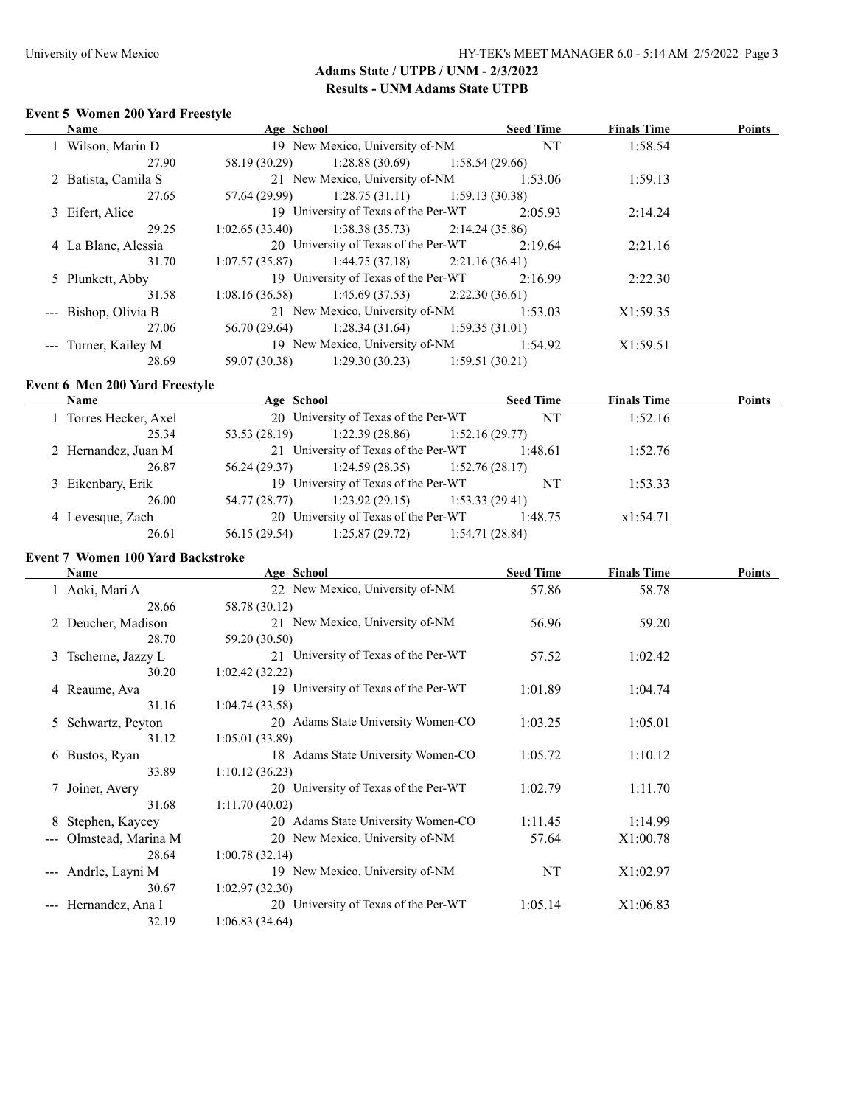$\overline{\phantom{a}}$ 

# **Adams State / UTPB / UNM - 2/3/2022 Results - UNM Adams State UTPB**

### **Event 5 Women 200 Yard Freestyle**

| <b>Name</b>          | Age School    |                                                    |                | <b>Seed Time</b> | <b>Finals Time</b> | Points |
|----------------------|---------------|----------------------------------------------------|----------------|------------------|--------------------|--------|
| 1 Wilson, Marin D    |               | 19 New Mexico, University of-NM                    |                | <b>NT</b>        | 1:58.54            |        |
| 27.90                | 58.19 (30.29) | $1:28.88(30.69)$ $1:58.54(29.66)$                  |                |                  |                    |        |
| 2 Batista, Camila S  |               | 21 New Mexico, University of-NM                    |                | 1:53.06          | 1:59.13            |        |
| 27.65                |               | $57.64(29.99)$ 1:28.75 (31.11) 1:59.13 (30.38)     |                |                  |                    |        |
| 3 Eifert, Alice      |               | 19 University of Texas of the Per-WT               |                | 2:05.93          | 2:14.24            |        |
| 29.25                |               | $1:02.65(33.40)$ $1:38.38(35.73)$ $2:14.24(35.86)$ |                |                  |                    |        |
| 4 La Blanc, Alessia  |               | 20 University of Texas of the Per-WT               |                | 2:19.64          | 2:21.16            |        |
| 31.70                |               | $1:07.57(35.87)$ $1:44.75(37.18)$ $2:21.16(36.41)$ |                |                  |                    |        |
| 5 Plunkett, Abby     |               | 19 University of Texas of the Per-WT               |                | 2:16.99          | 2:22.30            |        |
| 31.58                |               | $1:08.16(36.58)$ $1:45.69(37.53)$ $2:22.30(36.61)$ |                |                  |                    |        |
| --- Bishop, Olivia B |               | 21 New Mexico, University of-NM                    |                | 1:53.03          | X1:59.35           |        |
| 27.06                |               | $1:28.34(31.64)$ $1:28.34(31.64)$ $1:59.35(31.01)$ |                |                  |                    |        |
| --- Turner, Kailey M |               | 19 New Mexico, University of-NM                    |                | 1:54.92          | X1:59.51           |        |
| 28.69                | 59.07 (30.38) | 1:29.30(30.23)                                     | 1:59.51(30.21) |                  |                    |        |

### **Event 6 Men 200 Yard Freestyle**

| <b>Name</b>           | Age School    |                                      |                 | <b>Seed Time</b> | <b>Finals Time</b> | <b>Points</b> |
|-----------------------|---------------|--------------------------------------|-----------------|------------------|--------------------|---------------|
| 1 Torres Hecker, Axel |               | 20 University of Texas of the Per-WT |                 | NT               | 1:52.16            |               |
| 25.34                 | 53.53 (28.19) | $1:22.39(28.86)$ $1:52.16(29.77)$    |                 |                  |                    |               |
| 2 Hernandez, Juan M   |               | 21 University of Texas of the Per-WT |                 | 1:48.61          | 1:52.76            |               |
| 26.87                 | 56.24 (29.37) | $1:24.59(28.35)$ $1:52.76(28.17)$    |                 |                  |                    |               |
| 3 Eikenbary, Erik     |               | 19 University of Texas of the Per-WT |                 | NT               | 1:53.33            |               |
| 26.00                 | 54.77 (28.77) | 1:23.92(29.15)                       | 1:53.33(29.41)  |                  |                    |               |
| 4 Levesque, Zach      |               | 20 University of Texas of the Per-WT |                 | 1:48.75          | x1:54.71           |               |
| 26.61                 | 56.15 (29.54) | 1:25.87(29.72)                       | 1:54.71 (28.84) |                  |                    |               |

## **Event 7 Women 100 Yard Backstroke**

| Name                                         | Age School                           | <b>Seed Time</b> | <b>Finals Time</b> | <b>Points</b> |
|----------------------------------------------|--------------------------------------|------------------|--------------------|---------------|
| 1 Aoki, Mari A                               | 22 New Mexico, University of-NM      | 57.86            | 58.78              |               |
| 28.66                                        | 58.78 (30.12)                        |                  |                    |               |
| 2 Deucher, Madison                           | 21 New Mexico, University of-NM      | 56.96            | 59.20              |               |
| 28.70                                        | 59.20 (30.50)                        |                  |                    |               |
| 3 Tscherne, Jazzy L                          | 21 University of Texas of the Per-WT | 57.52            | 1:02.42            |               |
| 30.20                                        | 1:02.42(32.22)                       |                  |                    |               |
| 4 Reaume, Ava                                | 19 University of Texas of the Per-WT | 1:01.89          | 1:04.74            |               |
| 31.16                                        | 1:04.74(33.58)                       |                  |                    |               |
| 5 Schwartz, Peyton                           | 20 Adams State University Women-CO   | 1:03.25          | 1:05.01            |               |
| 31.12                                        | 1:05.01(33.89)                       |                  |                    |               |
| 6 Bustos, Ryan                               | 18 Adams State University Women-CO   | 1:05.72          | 1:10.12            |               |
| 33.89                                        | 1:10.12(36.23)                       |                  |                    |               |
| 7 Joiner, Avery                              | 20 University of Texas of the Per-WT | 1:02.79          | 1:11.70            |               |
| 31.68                                        | 1:11.70(40.02)                       |                  |                    |               |
| Stephen, Kaycey<br>8                         | 20 Adams State University Women-CO   | 1:11.45          | 1:14.99            |               |
| Olmstead, Marina M<br>$\qquad \qquad \cdots$ | 20 New Mexico, University of-NM      | 57.64            | X1:00.78           |               |
| 28.64                                        | 1:00.78(32.14)                       |                  |                    |               |
| Andrle, Layni M<br>$\qquad \qquad - -$       | 19 New Mexico, University of-NM      | NT               | X1:02.97           |               |
| 30.67                                        | 1:02.97(32.30)                       |                  |                    |               |
| Hernandez, Ana I                             | 20 University of Texas of the Per-WT | 1:05.14          | X1:06.83           |               |
| 32.19                                        | 1:06.83(34.64)                       |                  |                    |               |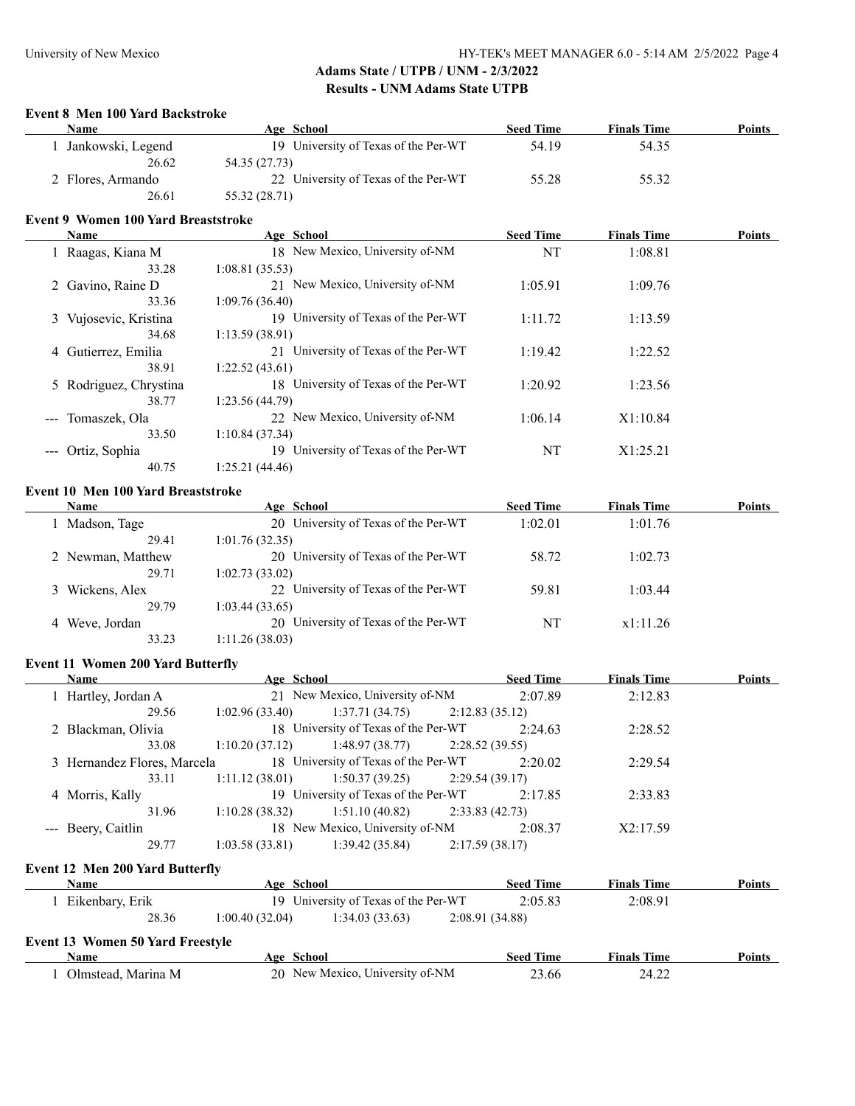#### **Event 8 Men 100 Yard Backstroke**

| <b>Name</b>       | Age School                           | <b>Seed Time</b> | <b>Finals Time</b> | <b>Points</b> |
|-------------------|--------------------------------------|------------------|--------------------|---------------|
| Jankowski, Legend | 19 University of Texas of the Per-WT | 54.19            | 54.35              |               |
| 26.62             | 54.35 (27.73)                        |                  |                    |               |
| 2 Flores, Armando | 22 University of Texas of the Per-WT | 55.28            | 55.32              |               |
| 26.61             | 55.32 (28.71)                        |                  |                    |               |

### **Event 9 Women 100 Yard Breaststroke**

| Name                                                                                                                                                                                                                                                                                                                                                                                                                                                                                        | Age School                               | <b>Seed Time</b> | <b>Finals Time</b> | <b>Points</b> |
|---------------------------------------------------------------------------------------------------------------------------------------------------------------------------------------------------------------------------------------------------------------------------------------------------------------------------------------------------------------------------------------------------------------------------------------------------------------------------------------------|------------------------------------------|------------------|--------------------|---------------|
| 1 Raagas, Kiana M                                                                                                                                                                                                                                                                                                                                                                                                                                                                           | 18 New Mexico, University of-NM          | NT               | 1:08.81            |               |
| 33.28                                                                                                                                                                                                                                                                                                                                                                                                                                                                                       | 1:08.81(35.53)                           |                  |                    |               |
| 2 Gavino, Raine D                                                                                                                                                                                                                                                                                                                                                                                                                                                                           | 21 New Mexico, University of-NM          | 1:05.91          | 1:09.76            |               |
| 33.36                                                                                                                                                                                                                                                                                                                                                                                                                                                                                       | 1:09.76(36.40)                           |                  |                    |               |
| 3 Vujosevic, Kristina                                                                                                                                                                                                                                                                                                                                                                                                                                                                       | University of Texas of the Per-WT<br>19. | 1:11.72          | 1:13.59            |               |
| 34.68                                                                                                                                                                                                                                                                                                                                                                                                                                                                                       | 1:13.59(38.91)                           |                  |                    |               |
| 4 Gutierrez, Emilia                                                                                                                                                                                                                                                                                                                                                                                                                                                                         | 21 University of Texas of the Per-WT     | 1:19.42          | 1:22.52            |               |
| 38.91                                                                                                                                                                                                                                                                                                                                                                                                                                                                                       | 1:22.52(43.61)                           |                  |                    |               |
| 5 Rodriguez, Chrystina                                                                                                                                                                                                                                                                                                                                                                                                                                                                      | 18 University of Texas of the Per-WT     | 1:20.92          | 1:23.56            |               |
| 38.77                                                                                                                                                                                                                                                                                                                                                                                                                                                                                       | 1:23.56(44.79)                           |                  |                    |               |
| Tomaszek, Ola<br>$\frac{1}{2} \left( \frac{1}{2} \right) \left( \frac{1}{2} \right) \left( \frac{1}{2} \right) \left( \frac{1}{2} \right) \left( \frac{1}{2} \right) \left( \frac{1}{2} \right) \left( \frac{1}{2} \right) \left( \frac{1}{2} \right) \left( \frac{1}{2} \right) \left( \frac{1}{2} \right) \left( \frac{1}{2} \right) \left( \frac{1}{2} \right) \left( \frac{1}{2} \right) \left( \frac{1}{2} \right) \left( \frac{1}{2} \right) \left( \frac{1}{2} \right) \left( \frac$ | 22 New Mexico, University of-NM          | 1:06.14          | X1:10.84           |               |
| 33.50                                                                                                                                                                                                                                                                                                                                                                                                                                                                                       | 1:10.84(37.34)                           |                  |                    |               |
| Ortiz, Sophia                                                                                                                                                                                                                                                                                                                                                                                                                                                                               | University of Texas of the Per-WT<br>19  | NT               | X1:25.21           |               |
| 40.75                                                                                                                                                                                                                                                                                                                                                                                                                                                                                       | 1:25.21 (44.46)                          |                  |                    |               |

### **Event 10 Men 100 Yard Breaststroke**

| <b>Name</b>       | Age School                           | <b>Seed Time</b> | <b>Finals Time</b> | <b>Points</b> |
|-------------------|--------------------------------------|------------------|--------------------|---------------|
| Madson, Tage      | 20 University of Texas of the Per-WT | 1:02.01          | 1:01.76            |               |
| 29.41             | 1:01.76(32.35)                       |                  |                    |               |
| 2 Newman, Matthew | 20 University of Texas of the Per-WT | 58.72            | 1:02.73            |               |
| 29.71             | 1:02.73(33.02)                       |                  |                    |               |
| 3 Wickens, Alex   | 22 University of Texas of the Per-WT | 59.81            | 1:03.44            |               |
| 29.79             | 1:03.44(33.65)                       |                  |                    |               |
| 4 Weve, Jordan    | 20 University of Texas of the Per-WT | NT               | x1:11.26           |               |
| 33.23             | 1:11.26(38.03)                       |                  |                    |               |

### **Event 11 Women 200 Yard Butterfly**

| <b>Name</b>                 | Age School     |                                      |                | <b>Seed Time</b> | <b>Finals Time</b> | <b>Points</b> |
|-----------------------------|----------------|--------------------------------------|----------------|------------------|--------------------|---------------|
| 1 Hartley, Jordan A         |                | 21 New Mexico, University of-NM      |                | 2:07.89          | 2:12.83            |               |
| 29.56                       | 1:02.96(33.40) | 1:37.71 (34.75)                      | 2:12.83(35.12) |                  |                    |               |
| 2 Blackman, Olivia          |                | 18 University of Texas of the Per-WT |                | 2:24.63          | 2:28.52            |               |
| 33.08                       | 1:10.20(37.12) | 1:48.97 (38.77)                      | 2:28.52(39.55) |                  |                    |               |
| 3 Hernandez Flores, Marcela |                | 18 University of Texas of the Per-WT |                | 2:20.02          | 2:29.54            |               |
| 33.11                       | 1:11.12(38.01) | $1:50.37(39.25)$ $2:29.54(39.17)$    |                |                  |                    |               |
| 4 Morris, Kally             |                | 19 University of Texas of the Per-WT |                | 2:17.85          | 2:33.83            |               |
| 31.96                       | 1:10.28(38.32) | 1:51.10(40.82)                       | 2:33.83(42.73) |                  |                    |               |
| --- Beery, Caitlin          |                | 18 New Mexico, University of-NM      |                | 2:08.37          | X2:17.59           |               |
| 29.77                       | 1:03.58(33.81) | 1:39.42(35.84)                       | 2:17.59(38.17) |                  |                    |               |

## **Event 12 Men 200 Yard Butterfly**

| Name                                    | Age School                           |                 | <b>Seed Time</b> | <b>Finals Time</b> | Points        |
|-----------------------------------------|--------------------------------------|-----------------|------------------|--------------------|---------------|
| Eikenbary, Erik                         | 19 University of Texas of the Per-WT |                 | 2:05.83          | 2:08.91            |               |
| 28.36                                   | 1:00.40(32.04)<br>1:34.03(33.63)     | 2:08.91 (34.88) |                  |                    |               |
| <b>Event 13 Women 50 Yard Freestyle</b> |                                      |                 |                  |                    |               |
| <b>Name</b>                             | Age School                           |                 | <b>Seed Time</b> | <b>Finals Time</b> | <b>Points</b> |
| Olmstead, Marina M                      | 20 New Mexico, University of-NM      |                 | 23.66            | 24.22              |               |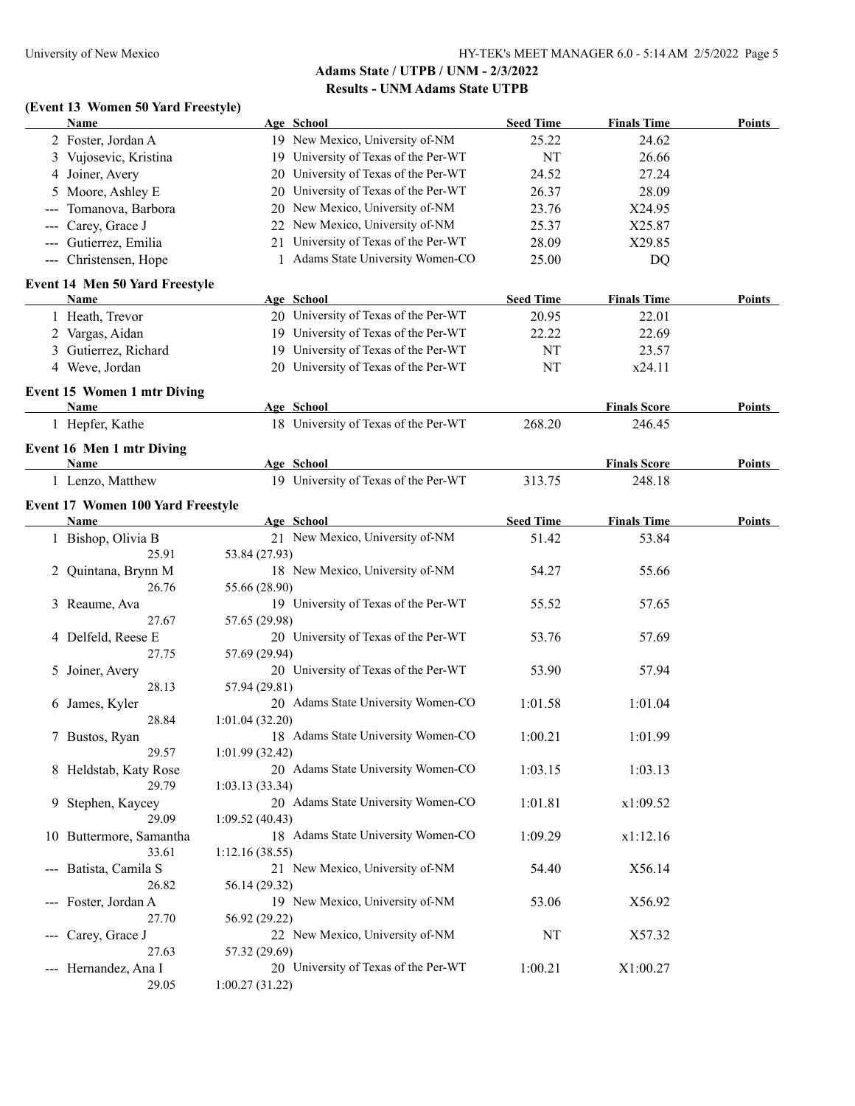# **(Event 13 Women 50 Yard Freestyle)**

| 19 New Mexico, University of-NM<br>2 Foster, Jordan A<br>25.22<br>24.62<br>19 University of Texas of the Per-WT<br>NT<br>3 Vujosevic, Kristina<br>26.66<br>20 University of Texas of the Per-WT<br>4 Joiner, Avery<br>24.52<br>27.24<br>University of Texas of the Per-WT<br>5 Moore, Ashley E<br>26.37<br>28.09<br>20<br>New Mexico, University of-NM<br>23.76<br>X24.95<br>Tomanova, Barbora<br>20<br>$---$<br>New Mexico, University of-NM<br>Carey, Grace J<br>25.37<br>X25.87<br>22<br>$\qquad \qquad - -$<br>University of Texas of the Per-WT<br>--- Gutierrez, Emilia<br>28.09<br>X29.85<br>21<br>Adams State University Women-CO<br>--- Christensen, Hope<br>25.00<br>DQ<br>Event 14 Men 50 Yard Freestyle<br><b>Seed Time</b><br><b>Finals Time</b><br><b>Points</b><br>Name<br>Age School<br>20 University of Texas of the Per-WT<br>20.95<br>22.01<br>1 Heath, Trevor<br>19 University of Texas of the Per-WT<br>2 Vargas, Aidan<br>22.22<br>22.69<br>19 University of Texas of the Per-WT<br>3 Gutierrez, Richard<br>NT<br>23.57<br>20 University of Texas of the Per-WT<br>NT<br>x24.11<br>4 Weve, Jordan<br><b>Event 15 Women 1 mtr Diving</b><br>Age School<br><b>Finals Score</b><br>Name<br><b>Points</b><br>18 University of Texas of the Per-WT<br>1 Hepfer, Kathe<br>268.20<br>246.45<br><b>Event 16 Men 1 mtr Diving</b><br>Name<br>Age School<br><b>Finals Score</b><br>Points<br>19 University of Texas of the Per-WT<br>1 Lenzo, Matthew<br>313.75<br>248.18<br><b>Event 17 Women 100 Yard Freestyle</b><br>Age School<br><b>Seed Time</b><br><b>Finals Time</b><br><b>Points</b><br><b>Name</b><br>1 Bishop, Olivia B<br>21 New Mexico, University of-NM<br>51.42<br>53.84<br>25.91<br>53.84 (27.93)<br>18 New Mexico, University of-NM<br>54.27<br>55.66<br>2 Quintana, Brynn M<br>26.76<br>55.66 (28.90)<br>19 University of Texas of the Per-WT<br>55.52<br>57.65<br>3 Reaume, Ava<br>27.67<br>57.65 (29.98)<br>20 University of Texas of the Per-WT<br>53.76<br>4 Delfeld, Reese E<br>57.69<br>27.75<br>57.69 (29.94)<br>20 University of Texas of the Per-WT<br>53.90<br>57.94<br>5 Joiner, Avery<br>28.13<br>57.94 (29.81)<br>20 Adams State University Women-CO<br>1:01.58<br>1:01.04<br>6 James, Kyler<br>28.84<br>1:01.04(32.20)<br>18 Adams State University Women-CO<br>1:00.21<br>1:01.99<br>7 Bustos, Ryan<br>29.57<br>1:01.99(32.42)<br>20 Adams State University Women-CO<br>1:03.15<br>1:03.13<br>8 Heldstab, Katy Rose<br>29.79<br>1:03.13(33.34)<br>20 Adams State University Women-CO<br>1:01.81<br>Stephen, Kaycey<br>x1:09.52<br>9<br>29.09<br>1:09.52(40.43)<br>18 Adams State University Women-CO<br>1:09.29<br>10 Buttermore, Samantha<br>x1:12.16<br>33.61<br>1:12.16(38.55)<br>21 New Mexico, University of-NM<br>54.40<br>X56.14<br>--- Batista, Camila S<br>26.82<br>56.14 (29.32)<br>19 New Mexico, University of-NM<br>53.06<br>X56.92<br>--- Foster, Jordan A<br>27.70<br>56.92 (29.22)<br>22 New Mexico, University of-NM<br>NT<br>X57.32<br>Carey, Grace J<br>$\sim$ $\sim$ $\sim$<br>27.63<br>57.32 (29.69)<br>20 University of Texas of the Per-WT<br>1:00.21<br>--- Hernandez, Ana I<br>X1:00.27<br>29.05<br>1:00.27(31.22) | Name | Age School | <b>Seed Time</b> | <b>Finals Time</b> | <b>Points</b> |
|-------------------------------------------------------------------------------------------------------------------------------------------------------------------------------------------------------------------------------------------------------------------------------------------------------------------------------------------------------------------------------------------------------------------------------------------------------------------------------------------------------------------------------------------------------------------------------------------------------------------------------------------------------------------------------------------------------------------------------------------------------------------------------------------------------------------------------------------------------------------------------------------------------------------------------------------------------------------------------------------------------------------------------------------------------------------------------------------------------------------------------------------------------------------------------------------------------------------------------------------------------------------------------------------------------------------------------------------------------------------------------------------------------------------------------------------------------------------------------------------------------------------------------------------------------------------------------------------------------------------------------------------------------------------------------------------------------------------------------------------------------------------------------------------------------------------------------------------------------------------------------------------------------------------------------------------------------------------------------------------------------------------------------------------------------------------------------------------------------------------------------------------------------------------------------------------------------------------------------------------------------------------------------------------------------------------------------------------------------------------------------------------------------------------------------------------------------------------------------------------------------------------------------------------------------------------------------------------------------------------------------------------------------------------------------------------------------------------------------------------------------------------------------------------------------------------------------------------------------------------------------------------------------------------------------------------------------------------------------------------------------------------------------------------------------------------------------------------------------------------------------------------------------------------------------------------|------|------------|------------------|--------------------|---------------|
|                                                                                                                                                                                                                                                                                                                                                                                                                                                                                                                                                                                                                                                                                                                                                                                                                                                                                                                                                                                                                                                                                                                                                                                                                                                                                                                                                                                                                                                                                                                                                                                                                                                                                                                                                                                                                                                                                                                                                                                                                                                                                                                                                                                                                                                                                                                                                                                                                                                                                                                                                                                                                                                                                                                                                                                                                                                                                                                                                                                                                                                                                                                                                                                           |      |            |                  |                    |               |
|                                                                                                                                                                                                                                                                                                                                                                                                                                                                                                                                                                                                                                                                                                                                                                                                                                                                                                                                                                                                                                                                                                                                                                                                                                                                                                                                                                                                                                                                                                                                                                                                                                                                                                                                                                                                                                                                                                                                                                                                                                                                                                                                                                                                                                                                                                                                                                                                                                                                                                                                                                                                                                                                                                                                                                                                                                                                                                                                                                                                                                                                                                                                                                                           |      |            |                  |                    |               |
|                                                                                                                                                                                                                                                                                                                                                                                                                                                                                                                                                                                                                                                                                                                                                                                                                                                                                                                                                                                                                                                                                                                                                                                                                                                                                                                                                                                                                                                                                                                                                                                                                                                                                                                                                                                                                                                                                                                                                                                                                                                                                                                                                                                                                                                                                                                                                                                                                                                                                                                                                                                                                                                                                                                                                                                                                                                                                                                                                                                                                                                                                                                                                                                           |      |            |                  |                    |               |
|                                                                                                                                                                                                                                                                                                                                                                                                                                                                                                                                                                                                                                                                                                                                                                                                                                                                                                                                                                                                                                                                                                                                                                                                                                                                                                                                                                                                                                                                                                                                                                                                                                                                                                                                                                                                                                                                                                                                                                                                                                                                                                                                                                                                                                                                                                                                                                                                                                                                                                                                                                                                                                                                                                                                                                                                                                                                                                                                                                                                                                                                                                                                                                                           |      |            |                  |                    |               |
|                                                                                                                                                                                                                                                                                                                                                                                                                                                                                                                                                                                                                                                                                                                                                                                                                                                                                                                                                                                                                                                                                                                                                                                                                                                                                                                                                                                                                                                                                                                                                                                                                                                                                                                                                                                                                                                                                                                                                                                                                                                                                                                                                                                                                                                                                                                                                                                                                                                                                                                                                                                                                                                                                                                                                                                                                                                                                                                                                                                                                                                                                                                                                                                           |      |            |                  |                    |               |
|                                                                                                                                                                                                                                                                                                                                                                                                                                                                                                                                                                                                                                                                                                                                                                                                                                                                                                                                                                                                                                                                                                                                                                                                                                                                                                                                                                                                                                                                                                                                                                                                                                                                                                                                                                                                                                                                                                                                                                                                                                                                                                                                                                                                                                                                                                                                                                                                                                                                                                                                                                                                                                                                                                                                                                                                                                                                                                                                                                                                                                                                                                                                                                                           |      |            |                  |                    |               |
|                                                                                                                                                                                                                                                                                                                                                                                                                                                                                                                                                                                                                                                                                                                                                                                                                                                                                                                                                                                                                                                                                                                                                                                                                                                                                                                                                                                                                                                                                                                                                                                                                                                                                                                                                                                                                                                                                                                                                                                                                                                                                                                                                                                                                                                                                                                                                                                                                                                                                                                                                                                                                                                                                                                                                                                                                                                                                                                                                                                                                                                                                                                                                                                           |      |            |                  |                    |               |
|                                                                                                                                                                                                                                                                                                                                                                                                                                                                                                                                                                                                                                                                                                                                                                                                                                                                                                                                                                                                                                                                                                                                                                                                                                                                                                                                                                                                                                                                                                                                                                                                                                                                                                                                                                                                                                                                                                                                                                                                                                                                                                                                                                                                                                                                                                                                                                                                                                                                                                                                                                                                                                                                                                                                                                                                                                                                                                                                                                                                                                                                                                                                                                                           |      |            |                  |                    |               |
|                                                                                                                                                                                                                                                                                                                                                                                                                                                                                                                                                                                                                                                                                                                                                                                                                                                                                                                                                                                                                                                                                                                                                                                                                                                                                                                                                                                                                                                                                                                                                                                                                                                                                                                                                                                                                                                                                                                                                                                                                                                                                                                                                                                                                                                                                                                                                                                                                                                                                                                                                                                                                                                                                                                                                                                                                                                                                                                                                                                                                                                                                                                                                                                           |      |            |                  |                    |               |
|                                                                                                                                                                                                                                                                                                                                                                                                                                                                                                                                                                                                                                                                                                                                                                                                                                                                                                                                                                                                                                                                                                                                                                                                                                                                                                                                                                                                                                                                                                                                                                                                                                                                                                                                                                                                                                                                                                                                                                                                                                                                                                                                                                                                                                                                                                                                                                                                                                                                                                                                                                                                                                                                                                                                                                                                                                                                                                                                                                                                                                                                                                                                                                                           |      |            |                  |                    |               |
|                                                                                                                                                                                                                                                                                                                                                                                                                                                                                                                                                                                                                                                                                                                                                                                                                                                                                                                                                                                                                                                                                                                                                                                                                                                                                                                                                                                                                                                                                                                                                                                                                                                                                                                                                                                                                                                                                                                                                                                                                                                                                                                                                                                                                                                                                                                                                                                                                                                                                                                                                                                                                                                                                                                                                                                                                                                                                                                                                                                                                                                                                                                                                                                           |      |            |                  |                    |               |
|                                                                                                                                                                                                                                                                                                                                                                                                                                                                                                                                                                                                                                                                                                                                                                                                                                                                                                                                                                                                                                                                                                                                                                                                                                                                                                                                                                                                                                                                                                                                                                                                                                                                                                                                                                                                                                                                                                                                                                                                                                                                                                                                                                                                                                                                                                                                                                                                                                                                                                                                                                                                                                                                                                                                                                                                                                                                                                                                                                                                                                                                                                                                                                                           |      |            |                  |                    |               |
|                                                                                                                                                                                                                                                                                                                                                                                                                                                                                                                                                                                                                                                                                                                                                                                                                                                                                                                                                                                                                                                                                                                                                                                                                                                                                                                                                                                                                                                                                                                                                                                                                                                                                                                                                                                                                                                                                                                                                                                                                                                                                                                                                                                                                                                                                                                                                                                                                                                                                                                                                                                                                                                                                                                                                                                                                                                                                                                                                                                                                                                                                                                                                                                           |      |            |                  |                    |               |
|                                                                                                                                                                                                                                                                                                                                                                                                                                                                                                                                                                                                                                                                                                                                                                                                                                                                                                                                                                                                                                                                                                                                                                                                                                                                                                                                                                                                                                                                                                                                                                                                                                                                                                                                                                                                                                                                                                                                                                                                                                                                                                                                                                                                                                                                                                                                                                                                                                                                                                                                                                                                                                                                                                                                                                                                                                                                                                                                                                                                                                                                                                                                                                                           |      |            |                  |                    |               |
|                                                                                                                                                                                                                                                                                                                                                                                                                                                                                                                                                                                                                                                                                                                                                                                                                                                                                                                                                                                                                                                                                                                                                                                                                                                                                                                                                                                                                                                                                                                                                                                                                                                                                                                                                                                                                                                                                                                                                                                                                                                                                                                                                                                                                                                                                                                                                                                                                                                                                                                                                                                                                                                                                                                                                                                                                                                                                                                                                                                                                                                                                                                                                                                           |      |            |                  |                    |               |
|                                                                                                                                                                                                                                                                                                                                                                                                                                                                                                                                                                                                                                                                                                                                                                                                                                                                                                                                                                                                                                                                                                                                                                                                                                                                                                                                                                                                                                                                                                                                                                                                                                                                                                                                                                                                                                                                                                                                                                                                                                                                                                                                                                                                                                                                                                                                                                                                                                                                                                                                                                                                                                                                                                                                                                                                                                                                                                                                                                                                                                                                                                                                                                                           |      |            |                  |                    |               |
|                                                                                                                                                                                                                                                                                                                                                                                                                                                                                                                                                                                                                                                                                                                                                                                                                                                                                                                                                                                                                                                                                                                                                                                                                                                                                                                                                                                                                                                                                                                                                                                                                                                                                                                                                                                                                                                                                                                                                                                                                                                                                                                                                                                                                                                                                                                                                                                                                                                                                                                                                                                                                                                                                                                                                                                                                                                                                                                                                                                                                                                                                                                                                                                           |      |            |                  |                    |               |
|                                                                                                                                                                                                                                                                                                                                                                                                                                                                                                                                                                                                                                                                                                                                                                                                                                                                                                                                                                                                                                                                                                                                                                                                                                                                                                                                                                                                                                                                                                                                                                                                                                                                                                                                                                                                                                                                                                                                                                                                                                                                                                                                                                                                                                                                                                                                                                                                                                                                                                                                                                                                                                                                                                                                                                                                                                                                                                                                                                                                                                                                                                                                                                                           |      |            |                  |                    |               |
|                                                                                                                                                                                                                                                                                                                                                                                                                                                                                                                                                                                                                                                                                                                                                                                                                                                                                                                                                                                                                                                                                                                                                                                                                                                                                                                                                                                                                                                                                                                                                                                                                                                                                                                                                                                                                                                                                                                                                                                                                                                                                                                                                                                                                                                                                                                                                                                                                                                                                                                                                                                                                                                                                                                                                                                                                                                                                                                                                                                                                                                                                                                                                                                           |      |            |                  |                    |               |
|                                                                                                                                                                                                                                                                                                                                                                                                                                                                                                                                                                                                                                                                                                                                                                                                                                                                                                                                                                                                                                                                                                                                                                                                                                                                                                                                                                                                                                                                                                                                                                                                                                                                                                                                                                                                                                                                                                                                                                                                                                                                                                                                                                                                                                                                                                                                                                                                                                                                                                                                                                                                                                                                                                                                                                                                                                                                                                                                                                                                                                                                                                                                                                                           |      |            |                  |                    |               |
|                                                                                                                                                                                                                                                                                                                                                                                                                                                                                                                                                                                                                                                                                                                                                                                                                                                                                                                                                                                                                                                                                                                                                                                                                                                                                                                                                                                                                                                                                                                                                                                                                                                                                                                                                                                                                                                                                                                                                                                                                                                                                                                                                                                                                                                                                                                                                                                                                                                                                                                                                                                                                                                                                                                                                                                                                                                                                                                                                                                                                                                                                                                                                                                           |      |            |                  |                    |               |
|                                                                                                                                                                                                                                                                                                                                                                                                                                                                                                                                                                                                                                                                                                                                                                                                                                                                                                                                                                                                                                                                                                                                                                                                                                                                                                                                                                                                                                                                                                                                                                                                                                                                                                                                                                                                                                                                                                                                                                                                                                                                                                                                                                                                                                                                                                                                                                                                                                                                                                                                                                                                                                                                                                                                                                                                                                                                                                                                                                                                                                                                                                                                                                                           |      |            |                  |                    |               |
|                                                                                                                                                                                                                                                                                                                                                                                                                                                                                                                                                                                                                                                                                                                                                                                                                                                                                                                                                                                                                                                                                                                                                                                                                                                                                                                                                                                                                                                                                                                                                                                                                                                                                                                                                                                                                                                                                                                                                                                                                                                                                                                                                                                                                                                                                                                                                                                                                                                                                                                                                                                                                                                                                                                                                                                                                                                                                                                                                                                                                                                                                                                                                                                           |      |            |                  |                    |               |
|                                                                                                                                                                                                                                                                                                                                                                                                                                                                                                                                                                                                                                                                                                                                                                                                                                                                                                                                                                                                                                                                                                                                                                                                                                                                                                                                                                                                                                                                                                                                                                                                                                                                                                                                                                                                                                                                                                                                                                                                                                                                                                                                                                                                                                                                                                                                                                                                                                                                                                                                                                                                                                                                                                                                                                                                                                                                                                                                                                                                                                                                                                                                                                                           |      |            |                  |                    |               |
|                                                                                                                                                                                                                                                                                                                                                                                                                                                                                                                                                                                                                                                                                                                                                                                                                                                                                                                                                                                                                                                                                                                                                                                                                                                                                                                                                                                                                                                                                                                                                                                                                                                                                                                                                                                                                                                                                                                                                                                                                                                                                                                                                                                                                                                                                                                                                                                                                                                                                                                                                                                                                                                                                                                                                                                                                                                                                                                                                                                                                                                                                                                                                                                           |      |            |                  |                    |               |
|                                                                                                                                                                                                                                                                                                                                                                                                                                                                                                                                                                                                                                                                                                                                                                                                                                                                                                                                                                                                                                                                                                                                                                                                                                                                                                                                                                                                                                                                                                                                                                                                                                                                                                                                                                                                                                                                                                                                                                                                                                                                                                                                                                                                                                                                                                                                                                                                                                                                                                                                                                                                                                                                                                                                                                                                                                                                                                                                                                                                                                                                                                                                                                                           |      |            |                  |                    |               |
|                                                                                                                                                                                                                                                                                                                                                                                                                                                                                                                                                                                                                                                                                                                                                                                                                                                                                                                                                                                                                                                                                                                                                                                                                                                                                                                                                                                                                                                                                                                                                                                                                                                                                                                                                                                                                                                                                                                                                                                                                                                                                                                                                                                                                                                                                                                                                                                                                                                                                                                                                                                                                                                                                                                                                                                                                                                                                                                                                                                                                                                                                                                                                                                           |      |            |                  |                    |               |
|                                                                                                                                                                                                                                                                                                                                                                                                                                                                                                                                                                                                                                                                                                                                                                                                                                                                                                                                                                                                                                                                                                                                                                                                                                                                                                                                                                                                                                                                                                                                                                                                                                                                                                                                                                                                                                                                                                                                                                                                                                                                                                                                                                                                                                                                                                                                                                                                                                                                                                                                                                                                                                                                                                                                                                                                                                                                                                                                                                                                                                                                                                                                                                                           |      |            |                  |                    |               |
|                                                                                                                                                                                                                                                                                                                                                                                                                                                                                                                                                                                                                                                                                                                                                                                                                                                                                                                                                                                                                                                                                                                                                                                                                                                                                                                                                                                                                                                                                                                                                                                                                                                                                                                                                                                                                                                                                                                                                                                                                                                                                                                                                                                                                                                                                                                                                                                                                                                                                                                                                                                                                                                                                                                                                                                                                                                                                                                                                                                                                                                                                                                                                                                           |      |            |                  |                    |               |
|                                                                                                                                                                                                                                                                                                                                                                                                                                                                                                                                                                                                                                                                                                                                                                                                                                                                                                                                                                                                                                                                                                                                                                                                                                                                                                                                                                                                                                                                                                                                                                                                                                                                                                                                                                                                                                                                                                                                                                                                                                                                                                                                                                                                                                                                                                                                                                                                                                                                                                                                                                                                                                                                                                                                                                                                                                                                                                                                                                                                                                                                                                                                                                                           |      |            |                  |                    |               |
|                                                                                                                                                                                                                                                                                                                                                                                                                                                                                                                                                                                                                                                                                                                                                                                                                                                                                                                                                                                                                                                                                                                                                                                                                                                                                                                                                                                                                                                                                                                                                                                                                                                                                                                                                                                                                                                                                                                                                                                                                                                                                                                                                                                                                                                                                                                                                                                                                                                                                                                                                                                                                                                                                                                                                                                                                                                                                                                                                                                                                                                                                                                                                                                           |      |            |                  |                    |               |
|                                                                                                                                                                                                                                                                                                                                                                                                                                                                                                                                                                                                                                                                                                                                                                                                                                                                                                                                                                                                                                                                                                                                                                                                                                                                                                                                                                                                                                                                                                                                                                                                                                                                                                                                                                                                                                                                                                                                                                                                                                                                                                                                                                                                                                                                                                                                                                                                                                                                                                                                                                                                                                                                                                                                                                                                                                                                                                                                                                                                                                                                                                                                                                                           |      |            |                  |                    |               |
|                                                                                                                                                                                                                                                                                                                                                                                                                                                                                                                                                                                                                                                                                                                                                                                                                                                                                                                                                                                                                                                                                                                                                                                                                                                                                                                                                                                                                                                                                                                                                                                                                                                                                                                                                                                                                                                                                                                                                                                                                                                                                                                                                                                                                                                                                                                                                                                                                                                                                                                                                                                                                                                                                                                                                                                                                                                                                                                                                                                                                                                                                                                                                                                           |      |            |                  |                    |               |
|                                                                                                                                                                                                                                                                                                                                                                                                                                                                                                                                                                                                                                                                                                                                                                                                                                                                                                                                                                                                                                                                                                                                                                                                                                                                                                                                                                                                                                                                                                                                                                                                                                                                                                                                                                                                                                                                                                                                                                                                                                                                                                                                                                                                                                                                                                                                                                                                                                                                                                                                                                                                                                                                                                                                                                                                                                                                                                                                                                                                                                                                                                                                                                                           |      |            |                  |                    |               |
|                                                                                                                                                                                                                                                                                                                                                                                                                                                                                                                                                                                                                                                                                                                                                                                                                                                                                                                                                                                                                                                                                                                                                                                                                                                                                                                                                                                                                                                                                                                                                                                                                                                                                                                                                                                                                                                                                                                                                                                                                                                                                                                                                                                                                                                                                                                                                                                                                                                                                                                                                                                                                                                                                                                                                                                                                                                                                                                                                                                                                                                                                                                                                                                           |      |            |                  |                    |               |
|                                                                                                                                                                                                                                                                                                                                                                                                                                                                                                                                                                                                                                                                                                                                                                                                                                                                                                                                                                                                                                                                                                                                                                                                                                                                                                                                                                                                                                                                                                                                                                                                                                                                                                                                                                                                                                                                                                                                                                                                                                                                                                                                                                                                                                                                                                                                                                                                                                                                                                                                                                                                                                                                                                                                                                                                                                                                                                                                                                                                                                                                                                                                                                                           |      |            |                  |                    |               |
|                                                                                                                                                                                                                                                                                                                                                                                                                                                                                                                                                                                                                                                                                                                                                                                                                                                                                                                                                                                                                                                                                                                                                                                                                                                                                                                                                                                                                                                                                                                                                                                                                                                                                                                                                                                                                                                                                                                                                                                                                                                                                                                                                                                                                                                                                                                                                                                                                                                                                                                                                                                                                                                                                                                                                                                                                                                                                                                                                                                                                                                                                                                                                                                           |      |            |                  |                    |               |
|                                                                                                                                                                                                                                                                                                                                                                                                                                                                                                                                                                                                                                                                                                                                                                                                                                                                                                                                                                                                                                                                                                                                                                                                                                                                                                                                                                                                                                                                                                                                                                                                                                                                                                                                                                                                                                                                                                                                                                                                                                                                                                                                                                                                                                                                                                                                                                                                                                                                                                                                                                                                                                                                                                                                                                                                                                                                                                                                                                                                                                                                                                                                                                                           |      |            |                  |                    |               |
|                                                                                                                                                                                                                                                                                                                                                                                                                                                                                                                                                                                                                                                                                                                                                                                                                                                                                                                                                                                                                                                                                                                                                                                                                                                                                                                                                                                                                                                                                                                                                                                                                                                                                                                                                                                                                                                                                                                                                                                                                                                                                                                                                                                                                                                                                                                                                                                                                                                                                                                                                                                                                                                                                                                                                                                                                                                                                                                                                                                                                                                                                                                                                                                           |      |            |                  |                    |               |
|                                                                                                                                                                                                                                                                                                                                                                                                                                                                                                                                                                                                                                                                                                                                                                                                                                                                                                                                                                                                                                                                                                                                                                                                                                                                                                                                                                                                                                                                                                                                                                                                                                                                                                                                                                                                                                                                                                                                                                                                                                                                                                                                                                                                                                                                                                                                                                                                                                                                                                                                                                                                                                                                                                                                                                                                                                                                                                                                                                                                                                                                                                                                                                                           |      |            |                  |                    |               |
|                                                                                                                                                                                                                                                                                                                                                                                                                                                                                                                                                                                                                                                                                                                                                                                                                                                                                                                                                                                                                                                                                                                                                                                                                                                                                                                                                                                                                                                                                                                                                                                                                                                                                                                                                                                                                                                                                                                                                                                                                                                                                                                                                                                                                                                                                                                                                                                                                                                                                                                                                                                                                                                                                                                                                                                                                                                                                                                                                                                                                                                                                                                                                                                           |      |            |                  |                    |               |
|                                                                                                                                                                                                                                                                                                                                                                                                                                                                                                                                                                                                                                                                                                                                                                                                                                                                                                                                                                                                                                                                                                                                                                                                                                                                                                                                                                                                                                                                                                                                                                                                                                                                                                                                                                                                                                                                                                                                                                                                                                                                                                                                                                                                                                                                                                                                                                                                                                                                                                                                                                                                                                                                                                                                                                                                                                                                                                                                                                                                                                                                                                                                                                                           |      |            |                  |                    |               |
|                                                                                                                                                                                                                                                                                                                                                                                                                                                                                                                                                                                                                                                                                                                                                                                                                                                                                                                                                                                                                                                                                                                                                                                                                                                                                                                                                                                                                                                                                                                                                                                                                                                                                                                                                                                                                                                                                                                                                                                                                                                                                                                                                                                                                                                                                                                                                                                                                                                                                                                                                                                                                                                                                                                                                                                                                                                                                                                                                                                                                                                                                                                                                                                           |      |            |                  |                    |               |
|                                                                                                                                                                                                                                                                                                                                                                                                                                                                                                                                                                                                                                                                                                                                                                                                                                                                                                                                                                                                                                                                                                                                                                                                                                                                                                                                                                                                                                                                                                                                                                                                                                                                                                                                                                                                                                                                                                                                                                                                                                                                                                                                                                                                                                                                                                                                                                                                                                                                                                                                                                                                                                                                                                                                                                                                                                                                                                                                                                                                                                                                                                                                                                                           |      |            |                  |                    |               |
|                                                                                                                                                                                                                                                                                                                                                                                                                                                                                                                                                                                                                                                                                                                                                                                                                                                                                                                                                                                                                                                                                                                                                                                                                                                                                                                                                                                                                                                                                                                                                                                                                                                                                                                                                                                                                                                                                                                                                                                                                                                                                                                                                                                                                                                                                                                                                                                                                                                                                                                                                                                                                                                                                                                                                                                                                                                                                                                                                                                                                                                                                                                                                                                           |      |            |                  |                    |               |
|                                                                                                                                                                                                                                                                                                                                                                                                                                                                                                                                                                                                                                                                                                                                                                                                                                                                                                                                                                                                                                                                                                                                                                                                                                                                                                                                                                                                                                                                                                                                                                                                                                                                                                                                                                                                                                                                                                                                                                                                                                                                                                                                                                                                                                                                                                                                                                                                                                                                                                                                                                                                                                                                                                                                                                                                                                                                                                                                                                                                                                                                                                                                                                                           |      |            |                  |                    |               |
|                                                                                                                                                                                                                                                                                                                                                                                                                                                                                                                                                                                                                                                                                                                                                                                                                                                                                                                                                                                                                                                                                                                                                                                                                                                                                                                                                                                                                                                                                                                                                                                                                                                                                                                                                                                                                                                                                                                                                                                                                                                                                                                                                                                                                                                                                                                                                                                                                                                                                                                                                                                                                                                                                                                                                                                                                                                                                                                                                                                                                                                                                                                                                                                           |      |            |                  |                    |               |
|                                                                                                                                                                                                                                                                                                                                                                                                                                                                                                                                                                                                                                                                                                                                                                                                                                                                                                                                                                                                                                                                                                                                                                                                                                                                                                                                                                                                                                                                                                                                                                                                                                                                                                                                                                                                                                                                                                                                                                                                                                                                                                                                                                                                                                                                                                                                                                                                                                                                                                                                                                                                                                                                                                                                                                                                                                                                                                                                                                                                                                                                                                                                                                                           |      |            |                  |                    |               |
|                                                                                                                                                                                                                                                                                                                                                                                                                                                                                                                                                                                                                                                                                                                                                                                                                                                                                                                                                                                                                                                                                                                                                                                                                                                                                                                                                                                                                                                                                                                                                                                                                                                                                                                                                                                                                                                                                                                                                                                                                                                                                                                                                                                                                                                                                                                                                                                                                                                                                                                                                                                                                                                                                                                                                                                                                                                                                                                                                                                                                                                                                                                                                                                           |      |            |                  |                    |               |
|                                                                                                                                                                                                                                                                                                                                                                                                                                                                                                                                                                                                                                                                                                                                                                                                                                                                                                                                                                                                                                                                                                                                                                                                                                                                                                                                                                                                                                                                                                                                                                                                                                                                                                                                                                                                                                                                                                                                                                                                                                                                                                                                                                                                                                                                                                                                                                                                                                                                                                                                                                                                                                                                                                                                                                                                                                                                                                                                                                                                                                                                                                                                                                                           |      |            |                  |                    |               |
|                                                                                                                                                                                                                                                                                                                                                                                                                                                                                                                                                                                                                                                                                                                                                                                                                                                                                                                                                                                                                                                                                                                                                                                                                                                                                                                                                                                                                                                                                                                                                                                                                                                                                                                                                                                                                                                                                                                                                                                                                                                                                                                                                                                                                                                                                                                                                                                                                                                                                                                                                                                                                                                                                                                                                                                                                                                                                                                                                                                                                                                                                                                                                                                           |      |            |                  |                    |               |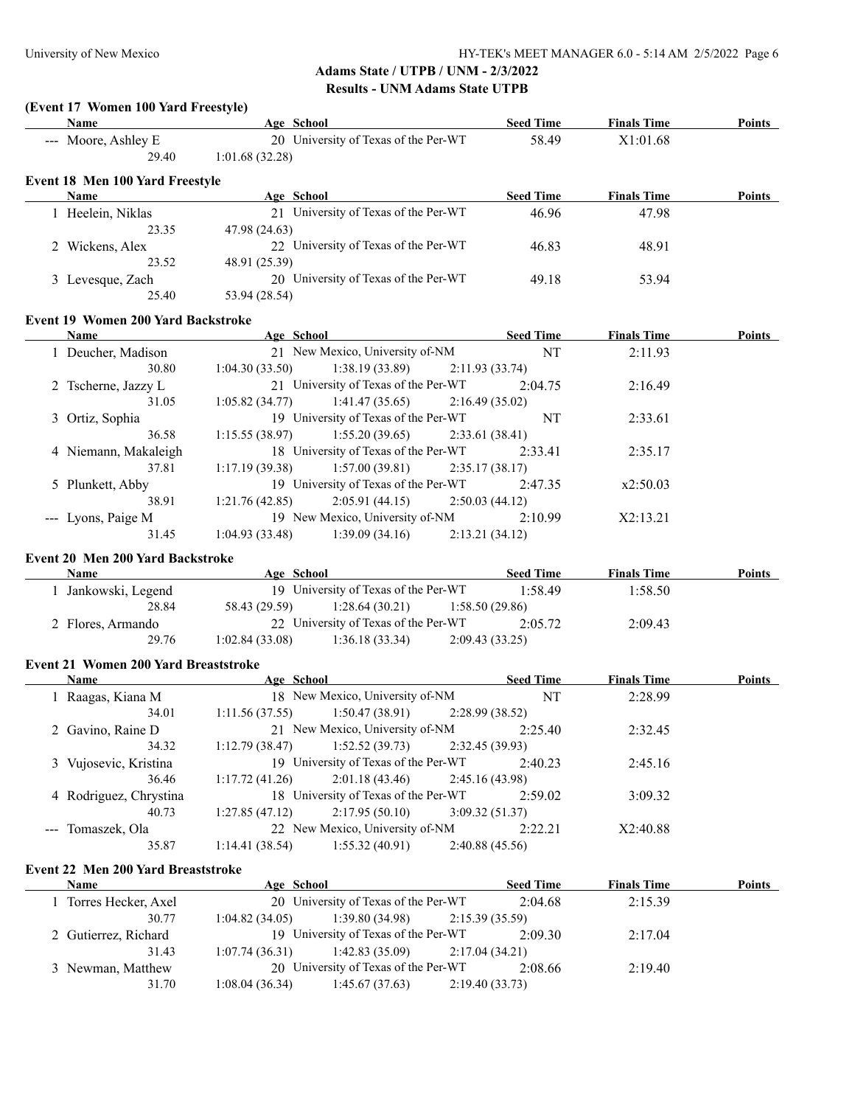### **(Event 17 Women 100 Yard Freestyle)**

| Name                            | Age School                           | <b>Seed Time</b> | <b>Finals Time</b> | Points |
|---------------------------------|--------------------------------------|------------------|--------------------|--------|
| --- Moore, Ashley E             | 20 University of Texas of the Per-WT | 58.49            | X1:01.68           |        |
| 29.40                           | 1:01.68(32.28)                       |                  |                    |        |
| Event 18 Men 100 Yard Freestyle |                                      |                  |                    |        |

| <b>Name</b>      | Age School                           | <b>Seed Time</b> | <b>Finals Time</b> | <b>Points</b> |
|------------------|--------------------------------------|------------------|--------------------|---------------|
| Heelein, Niklas  | 21 University of Texas of the Per-WT | 46.96            | 47.98              |               |
| 23.35            | 47.98 (24.63)                        |                  |                    |               |
| 2 Wickens, Alex  | 22 University of Texas of the Per-WT | 46.83            | 48.91              |               |
| 23.52            | 48.91 (25.39)                        |                  |                    |               |
| 3 Levesque, Zach | 20 University of Texas of the Per-WT | 49.18            | 53.94              |               |
| 25.40            | 53.94 (28.54)                        |                  |                    |               |

#### **Event 19 Women 200 Yard Backstroke**

| <b>Name</b>          | Age School     |                                      |                | <b>Seed Time</b> | <b>Finals Time</b> | <b>Points</b> |
|----------------------|----------------|--------------------------------------|----------------|------------------|--------------------|---------------|
| 1 Deucher, Madison   |                | 21 New Mexico, University of-NM      |                | NT               | 2:11.93            |               |
| 30.80                | 1:04.30(33.50) | $1:38.19(33.89)$ $2:11.93(33.74)$    |                |                  |                    |               |
| 2 Tscherne, Jazzy L  |                | 21 University of Texas of the Per-WT |                | 2:04.75          | 2:16.49            |               |
| 31.05                | 1:05.82(34.77) | $1:41.47(35.65)$ $2:16.49(35.02)$    |                |                  |                    |               |
| 3 Ortiz, Sophia      |                | 19 University of Texas of the Per-WT |                | NT               | 2:33.61            |               |
| 36.58                | 1:15.55(38.97) | 1:55.20(39.65)                       | 2:33.61(38.41) |                  |                    |               |
| 4 Niemann, Makaleigh |                | 18 University of Texas of the Per-WT |                | 2:33.41          | 2:35.17            |               |
| 37.81                | 1:17.19(39.38) | 1:57.00(39.81)                       | 2:35.17(38.17) |                  |                    |               |
| 5 Plunkett, Abby     |                | 19 University of Texas of the Per-WT |                | 2:47.35          | x2:50.03           |               |
| 38.91                | 1:21.76(42.85) | 2:05.91(44.15)                       | 2:50.03(44.12) |                  |                    |               |
| --- Lyons, Paige M   |                | 19 New Mexico, University of-NM      |                | 2:10.99          | X2:13.21           |               |
| 31.45                | 1:04.93(33.48) | 1:39.09(34.16)                       | 2:13.21(34.12) |                  |                    |               |

## **Event 20 Men 200 Yard Backstroke**

| Name              | Age School     |                                      |                | <b>Seed Time</b> | <b>Finals Time</b> | <b>Points</b> |
|-------------------|----------------|--------------------------------------|----------------|------------------|--------------------|---------------|
| Jankowski, Legend |                | 19 University of Texas of the Per-WT |                | 1:58.49          | 1:58.50            |               |
| 28.84             | 58.43 (29.59)  | 1:28.64(30.21)                       | 1:58.50(29.86) |                  |                    |               |
| 2 Flores, Armando |                | 22 University of Texas of the Per-WT |                | 2:05.72          | 2:09.43            |               |
| 29.76             | 1:02.84(33.08) | 1:36.18(33.34)                       | 2:09.43(33.25) |                  |                    |               |

### **Event 21 Women 200 Yard Breaststroke**

 $\overline{\phantom{a}}$ 

 $\overline{\phantom{a}}$ 

| <b>Name</b>            | Age School     |                                      | <b>Seed Time</b> | <b>Finals Time</b> | <b>Points</b> |
|------------------------|----------------|--------------------------------------|------------------|--------------------|---------------|
| 1 Raagas, Kiana M      |                | 18 New Mexico, University of-NM      | <b>NT</b>        | 2:28.99            |               |
| 34.01                  | 1:11.56(37.55) | $1:50.47(38.91)$ $2:28.99(38.52)$    |                  |                    |               |
| 2 Gavino, Raine D      |                | 21 New Mexico, University of-NM      | 2:25.40          | 2:32.45            |               |
| 34.32                  | 1:12.79(38.47) | $1:52.52(39.73)$ $2:32.45(39.93)$    |                  |                    |               |
| 3 Vujosevic, Kristina  |                | 19 University of Texas of the Per-WT | 2:40.23          | 2:45.16            |               |
| 36.46                  | 1:17.72(41.26) | $2:01.18(43.46)$ $2:45.16(43.98)$    |                  |                    |               |
| 4 Rodriguez, Chrystina |                | 18 University of Texas of the Per-WT | 2:59.02          | 3:09.32            |               |
| 40.73                  | 1:27.85(47.12) | 2:17.95(50.10)                       | 3:09.32(51.37)   |                    |               |
| --- Tomaszek, Ola      |                | 22 New Mexico, University of-NM      | 2:22.21          | X2:40.88           |               |
| 35.87                  | 1:14.41(38.54) | 1:55.32(40.91)                       | 2:40.88(45.56)   |                    |               |

### **Event 22 Men 200 Yard Breaststroke**

| <b>Name</b>          |       | Age School     |                                      |                 | <b>Seed Time</b> | <b>Finals Time</b> | <b>Points</b> |
|----------------------|-------|----------------|--------------------------------------|-----------------|------------------|--------------------|---------------|
| Torres Hecker, Axel  |       |                | 20 University of Texas of the Per-WT |                 | 2:04.68          | 2:15.39            |               |
|                      | 30.77 | 1:04.82(34.05) | 1:39.80 (34.98)                      | 2:15.39 (35.59) |                  |                    |               |
| 2 Gutierrez, Richard |       |                | 19 University of Texas of the Per-WT |                 | 2.0930           | 2:17.04            |               |
|                      | 31.43 | 1:07.74(36.31) | 1:42.83 (35.09)                      | 2:17.04 (34.21) |                  |                    |               |
| 3 Newman, Matthew    |       |                | 20 University of Texas of the Per-WT |                 | 2:08.66          | 2:19.40            |               |
|                      | 31.70 | 1:08.04(36.34) | 1:45.67(37.63)                       | 2:19.40 (33.73) |                  |                    |               |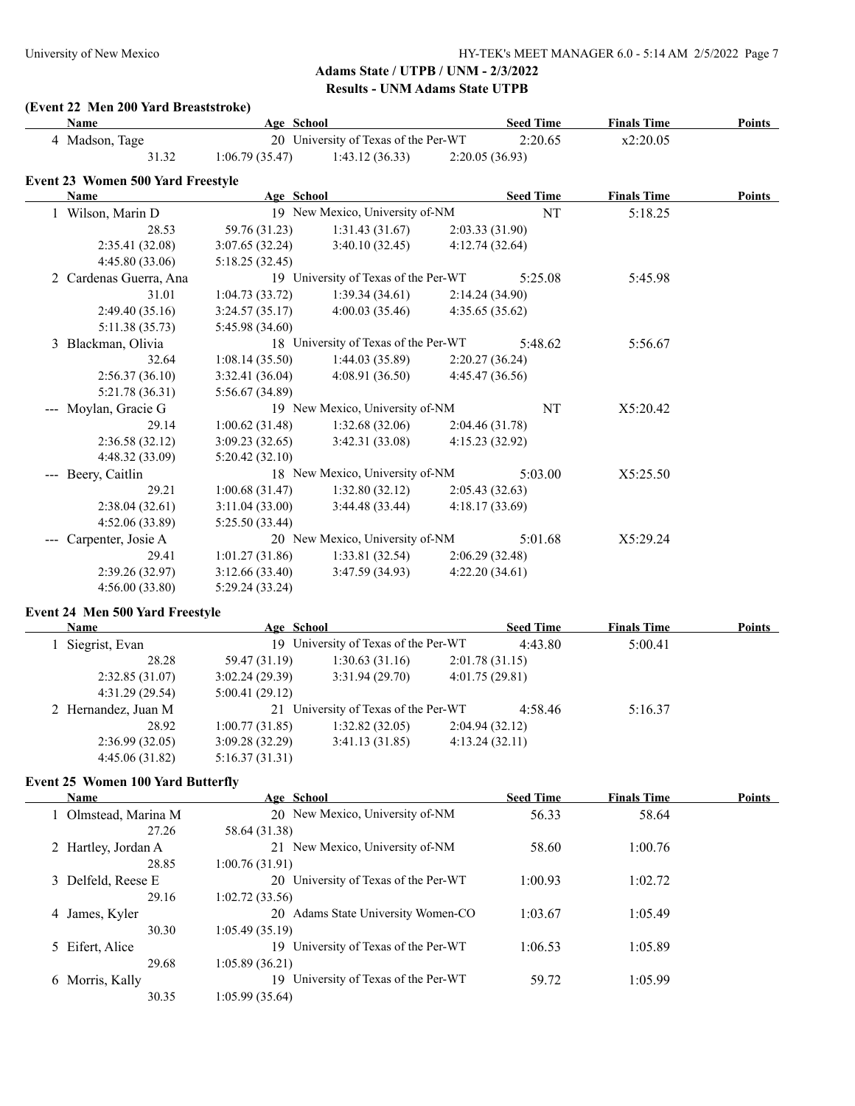### **(Event 22 Men 200 Yard Breaststroke)**

| <b>Name</b>                              | Age School      |                                      |                 | <b>Seed Time</b> | <b>Finals Time</b> | <b>Points</b> |
|------------------------------------------|-----------------|--------------------------------------|-----------------|------------------|--------------------|---------------|
| 4 Madson, Tage                           |                 | 20 University of Texas of the Per-WT |                 | 2:20.65          | x2:20.05           |               |
| 31.32                                    | 1:06.79(35.47)  | 1:43.12(36.33)                       | 2:20.05 (36.93) |                  |                    |               |
| <b>Event 23 Women 500 Yard Freestyle</b> |                 |                                      |                 |                  |                    |               |
| Name                                     | Age School      |                                      |                 | <b>Seed Time</b> | <b>Finals Time</b> | <b>Points</b> |
| 1 Wilson, Marin D                        |                 | 19 New Mexico, University of-NM      |                 | NT               | 5:18.25            |               |
| 28.53                                    | 59.76 (31.23)   | 1:31.43(31.67)                       | 2:03.33 (31.90) |                  |                    |               |
| 2:35.41(32.08)                           | 3:07.65(32.24)  | 3:40.10(32.45)                       | 4:12.74(32.64)  |                  |                    |               |
| 4:45.80(33.06)                           | 5:18.25(32.45)  |                                      |                 |                  |                    |               |
| 2 Cardenas Guerra, Ana                   |                 | 19 University of Texas of the Per-WT |                 | 5:25.08          | 5:45.98            |               |
| 31.01                                    | 1:04.73(33.72)  | 1:39.34(34.61)                       | 2:14.24(34.90)  |                  |                    |               |
| 2:49.40(35.16)                           | 3:24.57(35.17)  | 4:00.03(35.46)                       | 4:35.65 (35.62) |                  |                    |               |
| 5:11.38 (35.73)                          | 5:45.98(34.60)  |                                      |                 |                  |                    |               |
| 3 Blackman, Olivia                       |                 | 18 University of Texas of the Per-WT |                 | 5:48.62          | 5:56.67            |               |
| 32.64                                    | 1:08.14(35.50)  | 1:44.03(35.89)                       | 2:20.27(36.24)  |                  |                    |               |
| 2:56.37(36.10)                           | 3:32.41(36.04)  | 4:08.91(36.50)                       | 4:45.47 (36.56) |                  |                    |               |
| 5:21.78(36.31)                           | 5:56.67 (34.89) |                                      |                 |                  |                    |               |
| Moylan, Gracie G                         |                 | 19 New Mexico, University of-NM      |                 | NT               | X5:20.42           |               |
| 29.14                                    | 1:00.62(31.48)  | 1:32.68(32.06)                       | 2:04.46(31.78)  |                  |                    |               |
| 2:36.58(32.12)                           | 3:09.23(32.65)  | 3:42.31(33.08)                       | 4:15.23(32.92)  |                  |                    |               |
| 4:48.32(33.09)                           | 5:20.42(32.10)  |                                      |                 |                  |                    |               |
| Beery, Caitlin                           |                 | 18 New Mexico, University of-NM      |                 | 5:03.00          | X5:25.50           |               |
| 29.21                                    | 1:00.68(31.47)  | 1:32.80(32.12)                       | 2:05.43(32.63)  |                  |                    |               |
| 2:38.04(32.61)                           | 3:11.04(33.00)  | 3:44.48(33.44)                       | 4:18.17(33.69)  |                  |                    |               |
| 4:52.06(33.89)                           | 5:25.50(33.44)  |                                      |                 |                  |                    |               |
| Carpenter, Josie A                       |                 | 20 New Mexico, University of-NM      |                 | 5:01.68          | X5:29.24           |               |
| 29.41                                    | 1:01.27(31.86)  | 1:33.81(32.54)                       | 2:06.29(32.48)  |                  |                    |               |
| 2:39.26 (32.97)                          | 3:12.66(33.40)  | 3:47.59(34.93)                       | 4:22.20(34.61)  |                  |                    |               |
| 4:56.00(33.80)                           | 5:29.24(33.24)  |                                      |                 |                  |                    |               |
|                                          |                 |                                      |                 |                  |                    |               |

### **Event 24 Men 500 Yard Freestyle**

| <b>Name</b>         | Age School     |                                      |                | <b>Seed Time</b> | <b>Finals Time</b> | <b>Points</b> |
|---------------------|----------------|--------------------------------------|----------------|------------------|--------------------|---------------|
| Siegrist, Evan      |                | 19 University of Texas of the Per-WT |                | 4:43.80          | 5:00.41            |               |
| 28.28               | 59.47 (31.19)  | 1:30.63(31.16)                       | 2:01.78(31.15) |                  |                    |               |
| 2:32.85(31.07)      | 3:02.24(29.39) | 3:31.94(29.70)                       | 4:01.75(29.81) |                  |                    |               |
| 4:31.29(29.54)      | 5:00.41(29.12) |                                      |                |                  |                    |               |
| 2 Hernandez, Juan M |                | 21 University of Texas of the Per-WT |                | 4:58.46          | 5:16.37            |               |
| 28.92               | 1:00.77(31.85) | 1:32.82(32.05)                       | 2:04.94(32.12) |                  |                    |               |
| 2:36.99(32.05)      | 3:09.28(32.29) | 3:41.13(31.85)                       | 4:13.24(32.11) |                  |                    |               |
| 4:45.06(31.82)      | 5:16.37(31.31) |                                      |                |                  |                    |               |

### **Event 25 Women 100 Yard Butterfly**

| <b>Name</b>         | Age School                               | <b>Seed Time</b> | <b>Finals Time</b> | Points |
|---------------------|------------------------------------------|------------------|--------------------|--------|
| Olmstead, Marina M  | 20 New Mexico, University of-NM          | 56.33            | 58.64              |        |
| 27.26               | 58.64 (31.38)                            |                  |                    |        |
| 2 Hartley, Jordan A | 21 New Mexico, University of-NM          | 58.60            | 1:00.76            |        |
| 28.85               | 1:00.76(31.91)                           |                  |                    |        |
| 3 Delfeld, Reese E  | 20 University of Texas of the Per-WT     | 1:00.93          | 1:02.72            |        |
| 29.16               | 1:02.72(33.56)                           |                  |                    |        |
| 4 James, Kyler      | Adams State University Women-CO<br>20    | 1:03.67          | 1:05.49            |        |
| 30.30               | 1:05.49(35.19)                           |                  |                    |        |
| 5 Eifert, Alice     | University of Texas of the Per-WT<br>19. | 1:06.53          | 1:05.89            |        |
| 29.68               | 1:05.89(36.21)                           |                  |                    |        |
| 6 Morris, Kally     | University of Texas of the Per-WT<br>19  | 59.72            | 1:05.99            |        |
| 30.35               | 1:05.99(35.64)                           |                  |                    |        |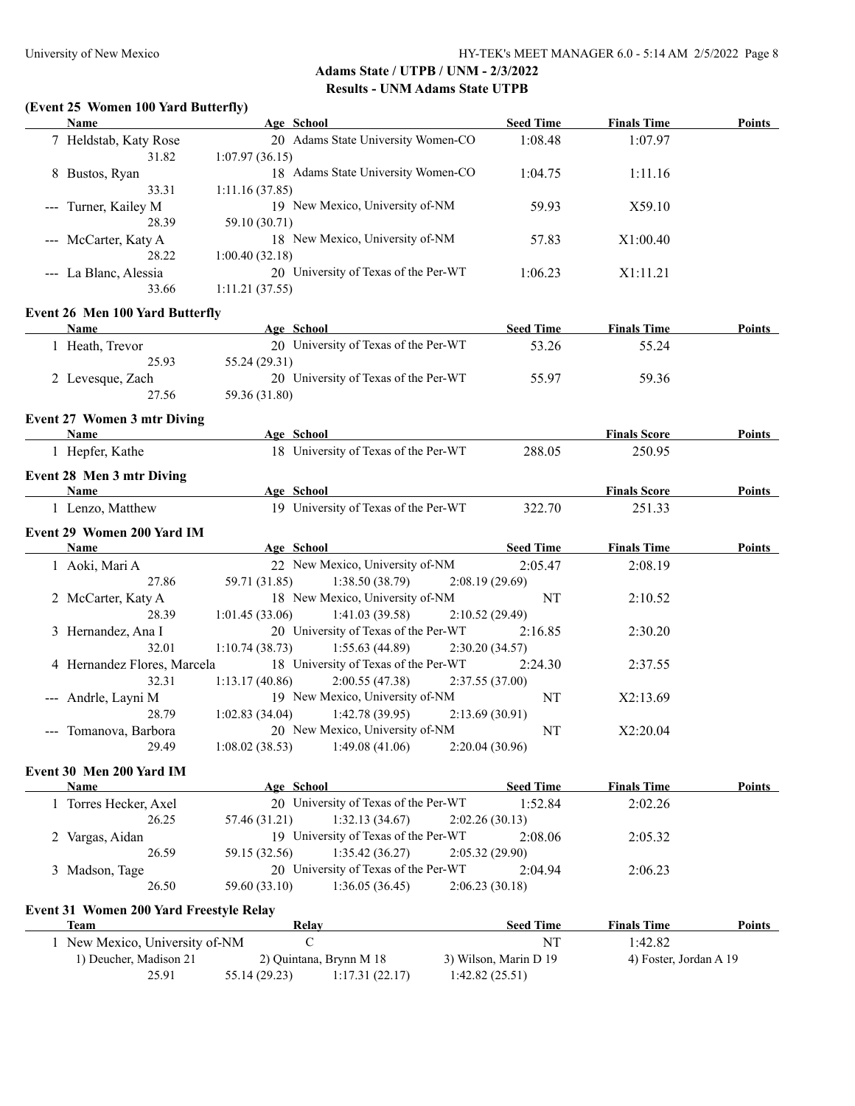# **(Event 25 Women 100 Yard Butterfly)**

| <b>Name</b>                                    | Age School                                                               | <b>Seed Time</b>                        | <b>Finals Time</b>            | <b>Points</b> |
|------------------------------------------------|--------------------------------------------------------------------------|-----------------------------------------|-------------------------------|---------------|
| 7 Heldstab, Katy Rose<br>31.82                 | 20 Adams State University Women-CO<br>1:07.97(36.15)                     | 1:08.48                                 | 1:07.97                       |               |
| 8 Bustos, Ryan<br>33.31                        | 18 Adams State University Women-CO<br>1:11.16(37.85)                     | 1:04.75                                 | 1:11.16                       |               |
| --- Turner, Kailey M<br>28.39                  | 19 New Mexico, University of-NM<br>59.10 (30.71)                         | 59.93                                   | X59.10                        |               |
| --- McCarter, Katy A<br>28.22                  | 18 New Mexico, University of-NM<br>1:00.40(32.18)                        | 57.83                                   | X1:00.40                      |               |
| --- La Blanc, Alessia<br>33.66                 | 20 University of Texas of the Per-WT<br>1:11.21(37.55)                   | 1:06.23                                 | X1:11.21                      |               |
| <b>Event 26 Men 100 Yard Butterfly</b>         |                                                                          |                                         |                               |               |
| Name                                           | Age School                                                               | <b>Seed Time</b>                        | <b>Finals Time</b>            | Points        |
| 1 Heath, Trevor<br>25.93                       | 20 University of Texas of the Per-WT<br>55.24 (29.31)                    | 53.26                                   | 55.24                         |               |
| 2 Levesque, Zach<br>27.56                      | 20 University of Texas of the Per-WT<br>59.36 (31.80)                    | 55.97                                   | 59.36                         |               |
| <b>Event 27 Women 3 mtr Diving</b>             |                                                                          |                                         |                               |               |
| Name                                           | Age School                                                               |                                         | <b>Finals Score</b>           | <b>Points</b> |
| 1 Hepfer, Kathe                                | 18 University of Texas of the Per-WT                                     | 288.05                                  | 250.95                        |               |
| Event 28 Men 3 mtr Diving<br>Name              |                                                                          |                                         |                               | Points        |
| 1 Lenzo, Matthew                               | Age School<br>19 University of Texas of the Per-WT                       | 322.70                                  | <b>Finals Score</b><br>251.33 |               |
| Event 29 Women 200 Yard IM                     |                                                                          |                                         |                               |               |
| Name                                           | Age School                                                               | <b>Seed Time</b>                        | <b>Finals Time</b>            | Points        |
| 1 Aoki, Mari A                                 | 22 New Mexico, University of-NM                                          | 2:05.47                                 | 2:08.19                       |               |
| 27.86                                          | 59.71 (31.85)<br>1:38.50(38.79)                                          | 2:08.19(29.69)                          |                               |               |
| 2 McCarter, Katy A<br>28.39                    | 18 New Mexico, University of-NM<br>1:01.45(33.06)<br>1:41.03(39.58)      | NT<br>2:10.52(29.49)                    | 2:10.52                       |               |
| 3 Hernandez, Ana I<br>32.01                    | 20 University of Texas of the Per-WT                                     | 2:16.85                                 | 2:30.20                       |               |
|                                                | 1:10.74(38.73)<br>1:55.63(44.89)<br>18 University of Texas of the Per-WT | 2:30.20(34.57)<br>2:24.30               |                               |               |
| 4 Hernandez Flores, Marcela<br>32.31           | 1:13.17(40.86)<br>2:00.55(47.38)                                         | 2:37.55(37.00)                          | 2:37.55                       |               |
| --- Andrle, Layni M<br>28.79                   | 19 New Mexico, University of-NM<br>1:02.83(34.04)<br>1:42.78(39.95)      | NT<br>2:13.69(30.91)                    | X2:13.69                      |               |
| --- Tomanova, Barbora                          | 20 New Mexico, University of-NM                                          | NT                                      | X2:20.04                      |               |
| 29.49                                          | 1:08.02(38.53)<br>1:49.08(41.06)                                         | 2:20.04(30.96)                          |                               |               |
| Event 30 Men 200 Yard IM                       |                                                                          |                                         |                               |               |
| Name                                           | Age School                                                               | <b>Seed Time</b>                        | <b>Finals Time</b>            | <b>Points</b> |
| 1 Torres Hecker, Axel<br>26.25                 | 20 University of Texas of the Per-WT<br>57.46 (31.21)<br>1:32.13(34.67)  | 1:52.84<br>2:02.26(30.13)               | 2:02.26                       |               |
| 2 Vargas, Aidan                                | 19 University of Texas of the Per-WT                                     | 2:08.06                                 | 2:05.32                       |               |
| 26.59                                          | 1:35.42(36.27)<br>59.15 (32.56)                                          | 2:05.32(29.90)                          |                               |               |
| 3 Madson, Tage                                 | 20 University of Texas of the Per-WT                                     | 2:04.94                                 | 2:06.23                       |               |
| 26.50                                          | 59.60 (33.10)<br>1:36.05(36.45)                                          | 2:06.23(30.18)                          |                               |               |
| <b>Event 31 Women 200 Yard Freestyle Relay</b> |                                                                          |                                         |                               |               |
| <b>Team</b>                                    | <b>Relay</b>                                                             | <b>Seed Time</b>                        | <b>Finals Time</b>            | Points        |
| 1 New Mexico, University of-NM                 | $\mathbf C$                                                              | NT                                      | 1:42.82                       |               |
| 1) Deucher, Madison 21<br>25.91                | 2) Quintana, Brynn M 18<br>55.14 (29.23)<br>1:17.31(22.17)               | 3) Wilson, Marin D 19<br>1:42.82(25.51) | 4) Foster, Jordan A 19        |               |
|                                                |                                                                          |                                         |                               |               |